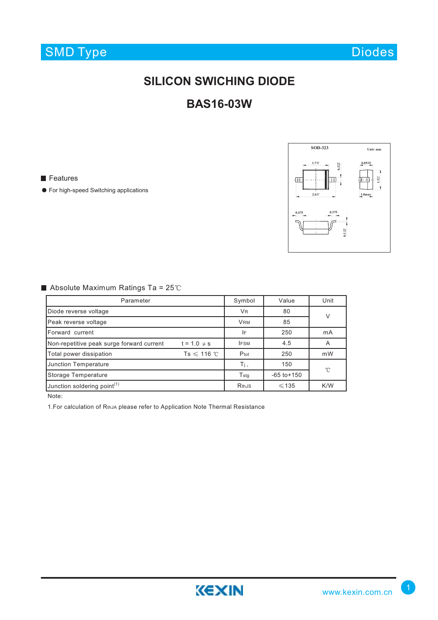Diodes

## **SILICON SWICHING DIODE**

## **BAS16-03W**

**Features** 

● For high-speed Switching applications



### Absolute Maximum Ratings Ta =  $25^{\circ}$ C

| Parameter                                                    |                  | Symbol       | Value           | Unit |  |
|--------------------------------------------------------------|------------------|--------------|-----------------|------|--|
| Diode reverse voltage                                        | <b>VR</b>        | 80           | V               |      |  |
| Peak reverse voltage                                         | <b>VRM</b>       | 85           |                 |      |  |
| Forward current                                              |                  | IF           | 250             | mA   |  |
| Non-repetitive peak surge forward current<br>$t = 1.0 \mu s$ |                  | <b>IFSM</b>  | 4.5             | A    |  |
| Total power dissipation                                      | $Ts \leq 116$ °C | Ptot         | 250             | mW   |  |
| <b>Junction Temperature</b>                                  |                  | Τj,          | 150             | °C   |  |
| <b>Storage Temperature</b>                                   |                  | Tstg         | $-65$ to $+150$ |      |  |
| Junction soldering point <sup>(1)</sup>                      |                  | <b>RthJS</b> | $\leq 135$      | K/W  |  |

Note:

1. For calculation of RthJA please refer to Application Note Thermal Resistance